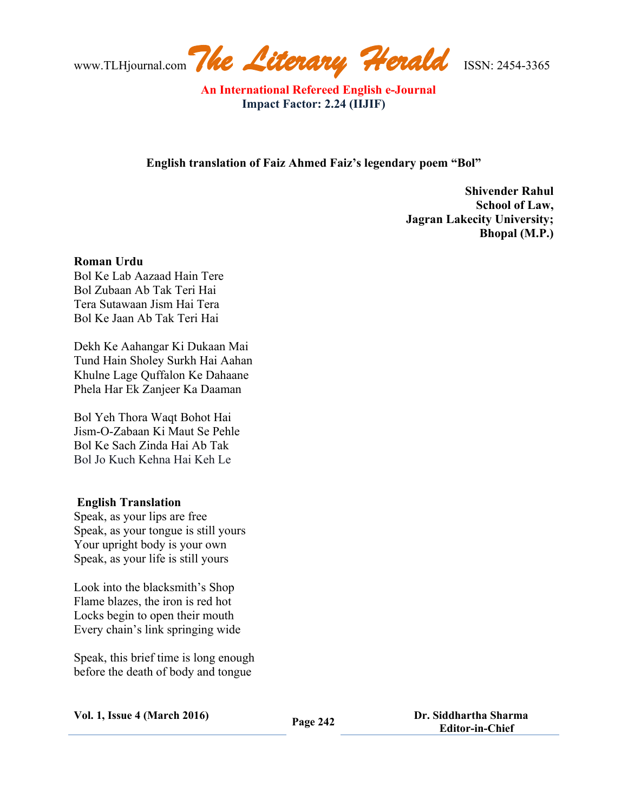www.TLHjournal.com*The Literary Herald*ISSN: 2454-3365

 **An International Refereed English e-Journal Impact Factor: 2.24 (IIJIF)**

**English translation of Faiz Ahmed Faiz's legendary poem "Bol"**

**Shivender Rahul School of Law, Jagran Lakecity University; Bhopal (M.P.)** 

## **Roman Urdu**

Bol Ke Lab Aazaad Hain Tere Bol Zubaan Ab Tak Teri Hai Tera Sutawaan Jism Hai Tera Bol Ke Jaan Ab Tak Teri Hai

Dekh Ke Aahangar Ki Dukaan Mai Tund Hain Sholey Surkh Hai Aahan Khulne Lage Quffalon Ke Dahaane Phela Har Ek Zanjeer Ka Daaman

Bol Yeh Thora Waqt Bohot Hai Jism-O-Zabaan Ki Maut Se Pehle Bol Ke Sach Zinda Hai Ab Tak Bol Jo Kuch Kehna Hai Keh Le

## **English Translation**

Speak, as your lips are free Speak, as your tongue is still yours Your upright body is your own Speak, as your life is still yours

Look into the blacksmith's Shop Flame blazes, the iron is red hot Locks begin to open their mouth Every chain's link springing wide

Speak, this brief time is long enough before the death of body and tongue

**Vol. 1, Issue <sup>4</sup> (March 2016) Page <sup>242</sup> Dr. Siddhartha Sharma Editor-in-Chief**